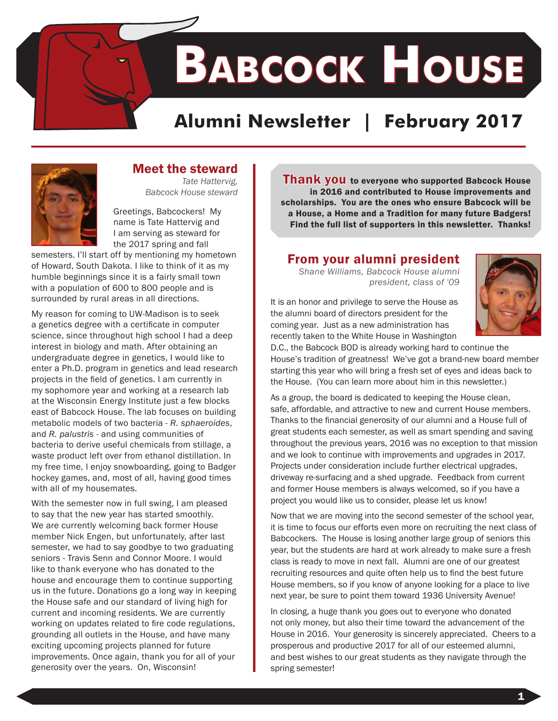**Babcock House**

# **Alumni Newsletter | February 2017**



# Meet the steward

*Tate Hattervig, Babcock House steward* 

Greetings, Babcockers! My name is Tate Hattervig and I am serving as steward for the 2017 spring and fall

semesters. I'll start off by mentioning my hometown of Howard, South Dakota. I like to think of it as my humble beginnings since it is a fairly small town with a population of 600 to 800 people and is surrounded by rural areas in all directions.

My reason for coming to UW-Madison is to seek a genetics degree with a certificate in computer science, since throughout high school I had a deep interest in biology and math. After obtaining an undergraduate degree in genetics, I would like to enter a Ph.D. program in genetics and lead research projects in the field of genetics. I am currently in my sophomore year and working at a research lab at the Wisconsin Energy Institute just a few blocks east of Babcock House. The lab focuses on building metabolic models of two bacteria - *R. sphaeroides*, and *R. palustris* - and using communities of bacteria to derive useful chemicals from stillage, a waste product left over from ethanol distillation. In my free time, I enjoy snowboarding, going to Badger hockey games, and, most of all, having good times with all of my housemates.

With the semester now in full swing, I am pleased to say that the new year has started smoothly. We are currently welcoming back former House member Nick Engen, but unfortunately, after last semester, we had to say goodbye to two graduating seniors - Travis Senn and Connor Moore. I would like to thank everyone who has donated to the house and encourage them to continue supporting us in the future. Donations go a long way in keeping the House safe and our standard of living high for current and incoming residents. We are currently working on updates related to fire code regulations, grounding all outlets in the House, and have many exciting upcoming projects planned for future improvements. Once again, thank you for all of your generosity over the years. On, Wisconsin!

Thank you to everyone who supported Babcock House in 2016 and contributed to House improvements and scholarships. You are the ones who ensure Babcock will be a House, a Home and a Tradition for many future Badgers! Find the full list of supporters in this newsletter. Thanks!

# From your alumni president

*Shane Williams, Babcock House alumni president, class of '09*



It is an honor and privilege to serve the House as the alumni board of directors president for the coming year. Just as a new administration has recently taken to the White House in Washington

D.C., the Babcock BOD is already working hard to continue the House's tradition of greatness! We've got a brand-new board member starting this year who will bring a fresh set of eyes and ideas back to the House. (You can learn more about him in this newsletter.)

As a group, the board is dedicated to keeping the House clean, safe, affordable, and attractive to new and current House members. Thanks to the financial generosity of our alumni and a House full of great students each semester, as well as smart spending and saving throughout the previous years, 2016 was no exception to that mission and we look to continue with improvements and upgrades in 2017. Projects under consideration include further electrical upgrades, driveway re-surfacing and a shed upgrade. Feedback from current and former House members is always welcomed, so if you have a project you would like us to consider, please let us know!

Now that we are moving into the second semester of the school year, it is time to focus our efforts even more on recruiting the next class of Babcockers. The House is losing another large group of seniors this year, but the students are hard at work already to make sure a fresh class is ready to move in next fall. Alumni are one of our greatest recruiting resources and quite often help us to find the best future House members, so if you know of anyone looking for a place to live next year, be sure to point them toward 1936 University Avenue!

In closing, a huge thank you goes out to everyone who donated not only money, but also their time toward the advancement of the House in 2016. Your generosity is sincerely appreciated. Cheers to a prosperous and productive 2017 for all of our esteemed alumni, and best wishes to our great students as they navigate through the spring semester!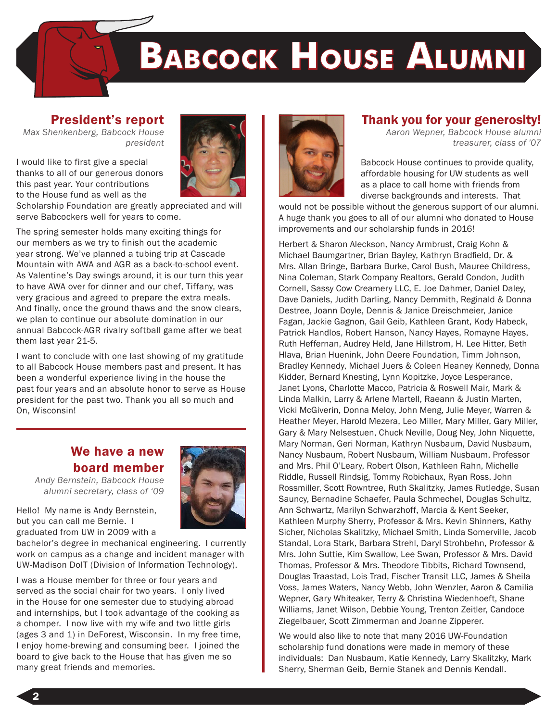

#### President's report

*Max Shenkenberg, Babcock House president*



I would like to first give a special thanks to all of our generous donors this past year. Your contributions to the House fund as well as the

Scholarship Foundation are greatly appreciated and will serve Babcockers well for years to come.

The spring semester holds many exciting things for our members as we try to finish out the academic year strong. We've planned a tubing trip at Cascade Mountain with AWA and AGR as a back-to-school event. As Valentine's Day swings around, it is our turn this year to have AWA over for dinner and our chef, Tiffany, was very gracious and agreed to prepare the extra meals. And finally, once the ground thaws and the snow clears, we plan to continue our absolute domination in our annual Babcock-AGR rivalry softball game after we beat them last year 21-5.

I want to conclude with one last showing of my gratitude to all Babcock House members past and present. It has been a wonderful experience living in the house the past four years and an absolute honor to serve as House president for the past two. Thank you all so much and On, Wisconsin!

# We have a new board member



Hello! My name is Andy Bernstein, but you can call me Bernie. I

graduated from UW in 2009 with a bachelor's degree in mechanical engineering. I currently work on campus as a change and incident manager with UW-Madison DoIT (Division of Information Technology).

I was a House member for three or four years and served as the social chair for two years. I only lived in the House for one semester due to studying abroad and internships, but I took advantage of the cooking as a chomper. I now live with my wife and two little girls (ages 3 and 1) in DeForest, Wisconsin. In my free time, I enjoy home-brewing and consuming beer. I joined the board to give back to the House that has given me so many great friends and memories.



### Thank you for your generosity!

*Aaron Wepner, Babcock House alumni treasurer, class of '07* 

Babcock House continues to provide quality, affordable housing for UW students as well as a place to call home with friends from diverse backgrounds and interests. That

would not be possible without the generous support of our alumni. A huge thank you goes to all of our alumni who donated to House improvements and our scholarship funds in 2016!

Herbert & Sharon Aleckson, Nancy Armbrust, Craig Kohn & Michael Baumgartner, Brian Bayley, Kathryn Bradfield, Dr. & Mrs. Allan Bringe, Barbara Burke, Carol Bush, Mauree Childress, Nina Coleman, Stark Company Realtors, Gerald Condon, Judith Cornell, Sassy Cow Creamery LLC, E. Joe Dahmer, Daniel Daley, Dave Daniels, Judith Darling, Nancy Demmith, Reginald & Donna Destree, Joann Doyle, Dennis & Janice Dreischmeier, Janice Fagan, Jackie Gagnon, Gail Geib, Kathleen Grant, Kody Habeck, Patrick Handlos, Robert Hanson, Nancy Hayes, Romayne Hayes, Ruth Heffernan, Audrey Held, Jane Hillstrom, H. Lee Hitter, Beth Hlava, Brian Huenink, John Deere Foundation, Timm Johnson, Bradley Kennedy, Michael Juers & Coleen Heaney Kennedy, Donna Kidder, Bernard Knesting, Lynn Kopitzke, Joyce Lesperance, Janet Lyons, Charlotte Macco, Patricia & Roswell Mair, Mark & Linda Malkin, Larry & Arlene Martell, Raeann & Justin Marten, Vicki McGiverin, Donna Meloy, John Meng, Julie Meyer, Warren & Heather Meyer, Harold Mezera, Leo Miller, Mary Miller, Gary Miller, Gary & Mary Nelsestuen, Chuck Neville, Doug Ney, John Niquette, Mary Norman, Geri Norman, Kathryn Nusbaum, David Nusbaum, Nancy Nusbaum, Robert Nusbaum, William Nusbaum, Professor and Mrs. Phil O'Leary, Robert Olson, Kathleen Rahn, Michelle Riddle, Russell Rindsig, Tommy Robichaux, Ryan Ross, John Rossmiller, Scott Rowntree, Ruth Skalitzky, James Rutledge, Susan Sauncy, Bernadine Schaefer, Paula Schmechel, Douglas Schultz, Ann Schwartz, Marilyn Schwarzhoff, Marcia & Kent Seeker, Kathleen Murphy Sherry, Professor & Mrs. Kevin Shinners, Kathy Sicher, Nicholas Skalitzky, Michael Smith, Linda Somerville, Jacob Standal, Lora Stark, Barbara Strehl, Daryl Strohbehn, Professor & Mrs. John Suttie, Kim Swallow, Lee Swan, Professor & Mrs. David Thomas, Professor & Mrs. Theodore Tibbits, Richard Townsend, Douglas Traastad, Lois Trad, Fischer Transit LLC, James & Sheila Voss, James Waters, Nancy Webb, John Wenzler, Aaron & Camilia Wepner, Gary Whiteaker, Terry & Christina Wiedenhoeft, Shane Williams, Janet Wilson, Debbie Young, Trenton Zeitler, Candoce Ziegelbauer, Scott Zimmerman and Joanne Zipperer.

We would also like to note that many 2016 UW-Foundation scholarship fund donations were made in memory of these individuals: Dan Nusbaum, Katie Kennedy, Larry Skalitzky, Mark Sherry, Sherman Geib, Bernie Stanek and Dennis Kendall.

2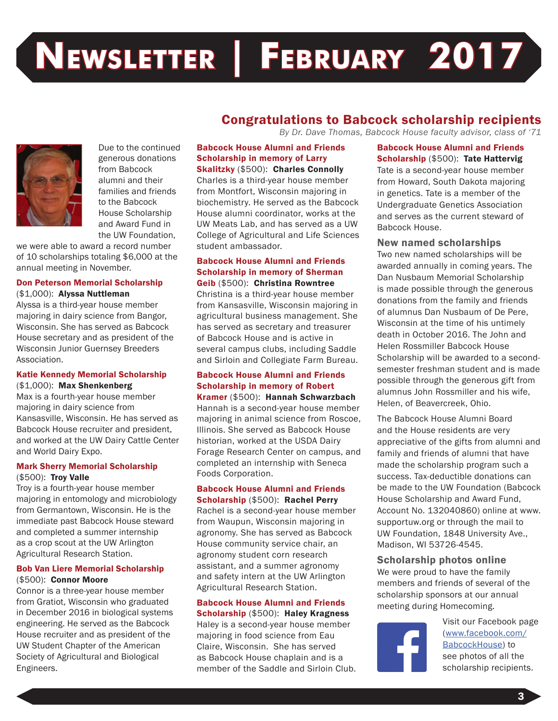# **Newsletter | February 2017**



Due to the continued generous donations from Babcock alumni and their families and friends to the Babcock House Scholarship and Award Fund in the UW Foundation,

we were able to award a record number of 10 scholarships totaling \$6,000 at the annual meeting in November.

#### Don Peterson Memorial Scholarship (\$1,000): Alyssa Nuttleman

Alyssa is a third-year house member majoring in dairy science from Bangor, Wisconsin. She has served as Babcock House secretary and as president of the Wisconsin Junior Guernsey Breeders Association.

#### Katie Kennedy Memorial Scholarship (\$1,000): Max Shenkenberg

Max is a fourth-year house member majoring in dairy science from Kansasville, Wisconsin. He has served as Babcock House recruiter and president, and worked at the UW Dairy Cattle Center and World Dairy Expo.

#### Mark Sherry Memorial Scholarship (\$500): Troy Valle

Troy is a fourth-year house member majoring in entomology and microbiology from Germantown, Wisconsin. He is the immediate past Babcock House steward and completed a summer internship as a crop scout at the UW Arlington Agricultural Research Station.

#### Bob Van Liere Memorial Scholarship (\$500): Connor Moore

Connor is a three-year house member from Gratiot, Wisconsin who graduated in December 2016 in biological systems engineering. He served as the Babcock House recruiter and as president of the UW Student Chapter of the American Society of Agricultural and Biological Engineers.

# Congratulations to Babcock scholarship recipients

*By Dr. Dave Thomas, Babcock House faculty advisor, class of '71*

#### Babcock House Alumni and Friends Scholarship in memory of Larry

Skalitzky (\$500): Charles Connolly Charles is a third-year house member from Montfort, Wisconsin majoring in biochemistry. He served as the Babcock House alumni coordinator, works at the UW Meats Lab, and has served as a UW College of Agricultural and Life Sciences student ambassador.

#### Babcock House Alumni and Friends Scholarship in memory of Sherman Geib (\$500): Christina Rowntree

Christina is a third-year house member from Kansasville, Wisconsin majoring in agricultural business management. She has served as secretary and treasurer of Babcock House and is active in several campus clubs, including Saddle and Sirloin and Collegiate Farm Bureau.

# Babcock House Alumni and Friends Scholarship in memory of Robert

Kramer (\$500): Hannah Schwarzbach Hannah is a second-year house member majoring in animal science from Roscoe, Illinois. She served as Babcock House historian, worked at the USDA Dairy Forage Research Center on campus, and completed an internship with Seneca Foods Corporation.

#### Babcock House Alumni and Friends Scholarship (\$500): Rachel Perry

Rachel is a second-year house member from Waupun, Wisconsin majoring in agronomy. She has served as Babcock House community service chair, an agronomy student corn research assistant, and a summer agronomy and safety intern at the UW Arlington Agricultural Research Station.

# Babcock House Alumni and Friends

Scholarship (\$500): Haley Kragness Haley is a second-year house member majoring in food science from Eau Claire, Wisconsin. She has served as Babcock House chaplain and is a member of the Saddle and Sirloin Club. Babcock House Alumni and Friends Scholarship (\$500): Tate Hattervig Tate is a second-year house member from Howard, South Dakota majoring in genetics. Tate is a member of the Undergraduate Genetics Association and serves as the current steward of Babcock House.

New named scholarships Two new named scholarships will be awarded annually in coming years. The Dan Nusbaum Memorial Scholarship is made possible through the generous donations from the family and friends of alumnus Dan Nusbaum of De Pere, Wisconsin at the time of his untimely death in October 2016. The John and Helen Rossmiller Babcock House Scholarship will be awarded to a secondsemester freshman student and is made possible through the generous gift from alumnus John Rossmiller and his wife, Helen, of Beavercreek, Ohio.

The Babcock House Alumni Board and the House residents are very appreciative of the gifts from alumni and family and friends of alumni that have made the scholarship program such a success. Tax-deductible donations can be made to the UW Foundation (Babcock House Scholarship and Award Fund, Account No. 132040860) online at www. supportuw.org or through the mail to UW Foundation, 1848 University Ave., Madison, WI 53726-4545.

#### Scholarship photos online

We were proud to have the family members and friends of several of the scholarship sponsors at our annual meeting during Homecoming.



Visit our Facebook page ([www.facebook.com/](http://www.facebook.com/BabcockHouse) [BabcockHouse\)](http://www.facebook.com/BabcockHouse) to see photos of all the scholarship recipients.